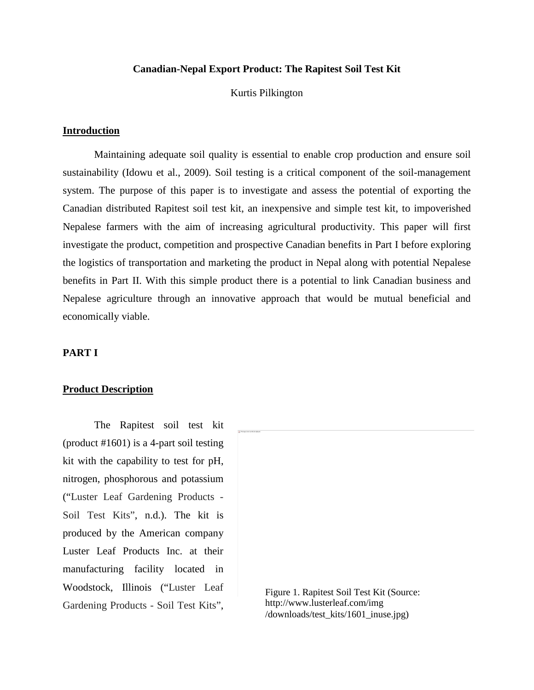# **Canadian-Nepal Export Product: The Rapitest Soil Test Kit**

#### Kurtis Pilkington

#### **Introduction**

Maintaining adequate soil quality is essential to enable crop production and ensure soil sustainability (Idowu et al., 2009). Soil testing is a critical component of the soil-management system. The purpose of this paper is to investigate and assess the potential of exporting the Canadian distributed Rapitest soil test kit, an inexpensive and simple test kit, to impoverished Nepalese farmers with the aim of increasing agricultural productivity. This paper will first investigate the product, competition and prospective Canadian benefits in Part I before exploring the logistics of transportation and marketing the product in Nepal along with potential Nepalese benefits in Part II. With this simple product there is a potential to link Canadian business and Nepalese agriculture through an innovative approach that would be mutual beneficial and economically viable.

#### **PART I**

## **Product Description**

The Rapitest soil test kit (product #1601) is a 4-part soil testing kit with the capability to test for pH, nitrogen, phosphorous and potassium ("Luster Leaf Gardening Products - Soil Test Kits", n.d.). The kit is produced by the American company Luster Leaf Products Inc. at their manufacturing facility located in Woodstock, Illinois ("Luster Leaf Gardening Products - Soil Test Kits",

Figure 1. Rapitest Soil Test Kit (Source: http://www.lusterleaf.com/img /downloads/test\_kits/1601\_inuse.jpg)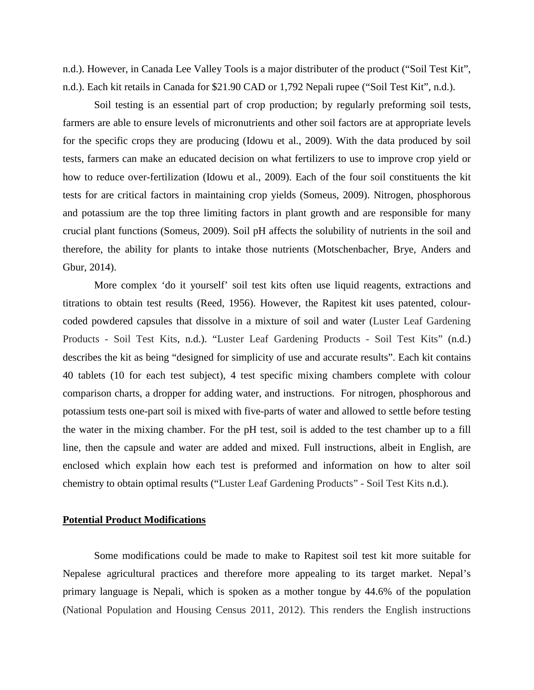n.d.). However, in Canada Lee Valley Tools is a major distributer of the product ("Soil Test Kit", n.d.). Each kit retails in Canada for \$21.90 CAD or 1,792 Nepali rupee ("Soil Test Kit", n.d.).

Soil testing is an essential part of crop production; by regularly preforming soil tests, farmers are able to ensure levels of micronutrients and other soil factors are at appropriate levels for the specific crops they are producing (Idowu et al., 2009). With the data produced by soil tests, farmers can make an educated decision on what fertilizers to use to improve crop yield or how to reduce over-fertilization (Idowu et al., 2009). Each of the four soil constituents the kit tests for are critical factors in maintaining crop yields (Someus, 2009). Nitrogen, phosphorous and potassium are the top three limiting factors in plant growth and are responsible for many crucial plant functions (Someus, 2009). Soil pH affects the solubility of nutrients in the soil and therefore, the ability for plants to intake those nutrients (Motschenbacher, Brye, Anders and Gbur, 2014).

More complex 'do it yourself' soil test kits often use liquid reagents, extractions and titrations to obtain test results (Reed, 1956). However, the Rapitest kit uses patented, colourcoded powdered capsules that dissolve in a mixture of soil and water (Luster Leaf Gardening Products - Soil Test Kits, n.d.). "Luster Leaf Gardening Products - Soil Test Kits" (n.d.) describes the kit as being "designed for simplicity of use and accurate results". Each kit contains 40 tablets (10 for each test subject), 4 test specific mixing chambers complete with colour comparison charts, a dropper for adding water, and instructions. For nitrogen, phosphorous and potassium tests one-part soil is mixed with five-parts of water and allowed to settle before testing the water in the mixing chamber. For the pH test, soil is added to the test chamber up to a fill line, then the capsule and water are added and mixed. Full instructions, albeit in English, are enclosed which explain how each test is preformed and information on how to alter soil chemistry to obtain optimal results ("Luster Leaf Gardening Products" - Soil Test Kits n.d.).

# **Potential Product Modifications**

Some modifications could be made to make to Rapitest soil test kit more suitable for Nepalese agricultural practices and therefore more appealing to its target market. Nepal's primary language is Nepali, which is spoken as a mother tongue by 44.6% of the population (National Population and Housing Census 2011, 2012). This renders the English instructions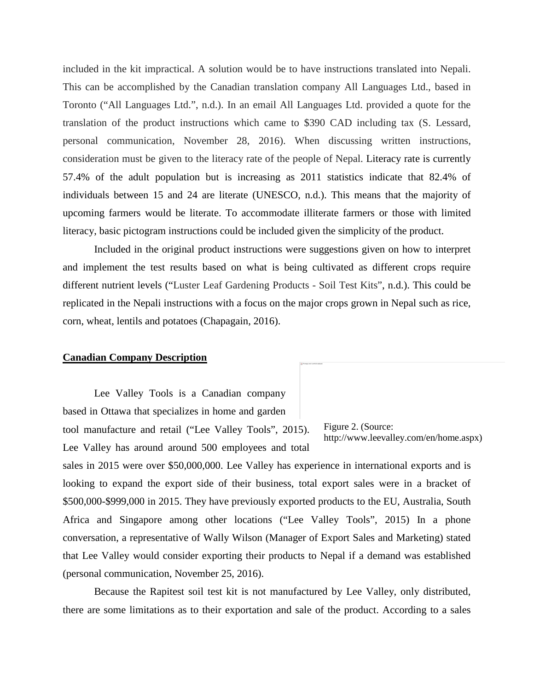included in the kit impractical. A solution would be to have instructions translated into Nepali. This can be accomplished by the Canadian translation company All Languages Ltd., based in Toronto ("All Languages Ltd.", n.d.). In an email All Languages Ltd. provided a quote for the translation of the product instructions which came to \$390 CAD including tax (S. Lessard, personal communication, November 28, 2016). When discussing written instructions, consideration must be given to the literacy rate of the people of Nepal. Literacy rate is currently 57.4% of the adult population but is increasing as 2011 statistics indicate that 82.4% of individuals between 15 and 24 are literate (UNESCO, n.d.). This means that the majority of upcoming farmers would be literate. To accommodate illiterate farmers or those with limited literacy, basic pictogram instructions could be included given the simplicity of the product.

Included in the original product instructions were suggestions given on how to interpret and implement the test results based on what is being cultivated as different crops require different nutrient levels ("Luster Leaf Gardening Products - Soil Test Kits", n.d.). This could be replicated in the Nepali instructions with a focus on the major crops grown in Nepal such as rice, corn, wheat, lentils and potatoes (Chapagain, 2016).

## **Canadian Company Description**

Lee Valley Tools is a Canadian company based in Ottawa that specializes in home and garden tool manufacture and retail ("Lee Valley Tools", 2015). Lee Valley has around around 500 employees and total

Figure 2. (Source: http://www.leevalley.com/en/home.aspx)

sales in 2015 were over \$50,000,000. Lee Valley has experience in international exports and is looking to expand the export side of their business, total export sales were in a bracket of \$500,000-\$999,000 in 2015. They have previously exported products to the EU, Australia, South Africa and Singapore among other locations ("Lee Valley Tools", 2015) In a phone conversation, a representative of Wally Wilson (Manager of Export Sales and Marketing) stated that Lee Valley would consider exporting their products to Nepal if a demand was established (personal communication, November 25, 2016).

Because the Rapitest soil test kit is not manufactured by Lee Valley, only distributed, there are some limitations as to their exportation and sale of the product. According to a sales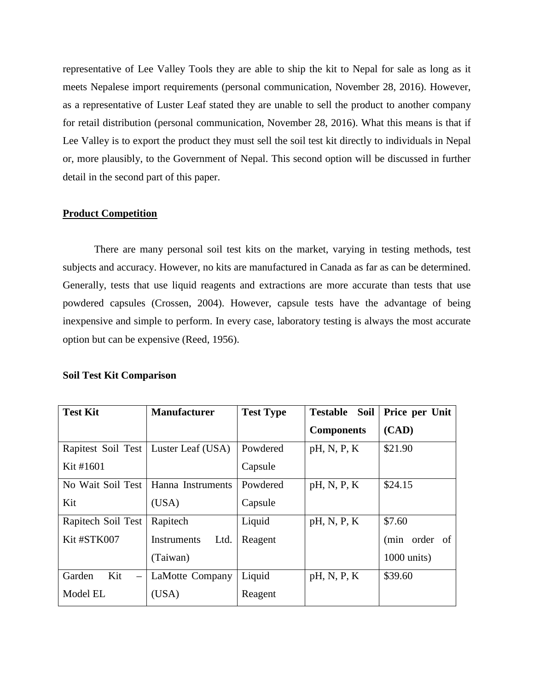representative of Lee Valley Tools they are able to ship the kit to Nepal for sale as long as it meets Nepalese import requirements (personal communication, November 28, 2016). However, as a representative of Luster Leaf stated they are unable to sell the product to another company for retail distribution (personal communication, November 28, 2016). What this means is that if Lee Valley is to export the product they must sell the soil test kit directly to individuals in Nepal or, more plausibly, to the Government of Nepal. This second option will be discussed in further detail in the second part of this paper.

# **Product Competition**

There are many personal soil test kits on the market, varying in testing methods, test subjects and accuracy. However, no kits are manufactured in Canada as far as can be determined. Generally, tests that use liquid reagents and extractions are more accurate than tests that use powdered capsules (Crossen, 2004). However, capsule tests have the advantage of being inexpensive and simple to perform. In every case, laboratory testing is always the most accurate option but can be expensive (Reed, 1956).

| <b>Test Kit</b>                           | <b>Manufacturer</b>        | <b>Test Type</b> | <b>Testable Soil</b> | Price per Unit       |
|-------------------------------------------|----------------------------|------------------|----------------------|----------------------|
|                                           |                            |                  | <b>Components</b>    | (CAD)                |
| Rapitest Soil Test                        | Luster Leaf (USA)          | Powdered         | pH, N, P, K          | \$21.90              |
| Kit #1601                                 |                            | Capsule          |                      |                      |
| No Wait Soil Test                         | Hanna Instruments          | Powdered         | pH, N, P, K          | \$24.15              |
| Kit                                       | (USA)                      | Capsule          |                      |                      |
| Rapitech Soil Test                        | Rapitech                   | Liquid           | pH, N, P, K          | \$7.60               |
| Kit #STK007                               | <b>Instruments</b><br>Ltd. | Reagent          |                      | (min order of        |
|                                           | (Taiwan)                   |                  |                      | $1000 \text{ units}$ |
| Kit<br>Garden<br>$\overline{\phantom{m}}$ | <b>LaMotte Company</b>     | Liquid           | pH, N, P, K          | \$39.60              |
| Model EL                                  | (USA)                      | Reagent          |                      |                      |

# **Soil Test Kit Comparison**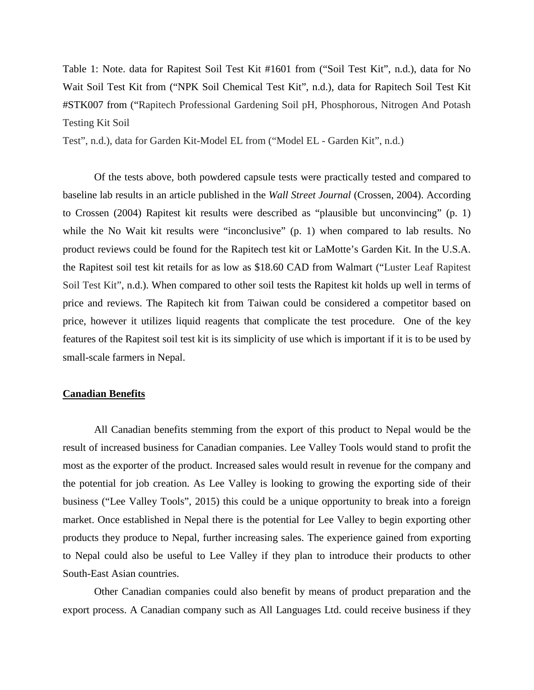Table 1: Note. data for Rapitest Soil Test Kit #1601 from ("Soil Test Kit", n.d.), data for No Wait Soil Test Kit from ("NPK Soil Chemical Test Kit", n.d.), data for Rapitech Soil Test Kit #STK007 from ("Rapitech Professional Gardening Soil pH, Phosphorous, Nitrogen And Potash Testing Kit Soil

Test", n.d.), data for Garden Kit-Model EL from ("Model EL - Garden Kit", n.d.)

Of the tests above, both powdered capsule tests were practically tested and compared to baseline lab results in an article published in the *Wall Street Journal* (Crossen, 2004). According to Crossen (2004) Rapitest kit results were described as "plausible but unconvincing" (p. 1) while the No Wait kit results were "inconclusive" (p. 1) when compared to lab results. No product reviews could be found for the Rapitech test kit or LaMotte's Garden Kit. In the U.S.A. the Rapitest soil test kit retails for as low as \$18.60 CAD from Walmart ("Luster Leaf Rapitest Soil Test Kit", n.d.). When compared to other soil tests the Rapitest kit holds up well in terms of price and reviews. The Rapitech kit from Taiwan could be considered a competitor based on price, however it utilizes liquid reagents that complicate the test procedure. One of the key features of the Rapitest soil test kit is its simplicity of use which is important if it is to be used by small-scale farmers in Nepal.

# **Canadian Benefits**

All Canadian benefits stemming from the export of this product to Nepal would be the result of increased business for Canadian companies. Lee Valley Tools would stand to profit the most as the exporter of the product. Increased sales would result in revenue for the company and the potential for job creation. As Lee Valley is looking to growing the exporting side of their business ("Lee Valley Tools", 2015) this could be a unique opportunity to break into a foreign market. Once established in Nepal there is the potential for Lee Valley to begin exporting other products they produce to Nepal, further increasing sales. The experience gained from exporting to Nepal could also be useful to Lee Valley if they plan to introduce their products to other South-East Asian countries.

Other Canadian companies could also benefit by means of product preparation and the export process. A Canadian company such as All Languages Ltd. could receive business if they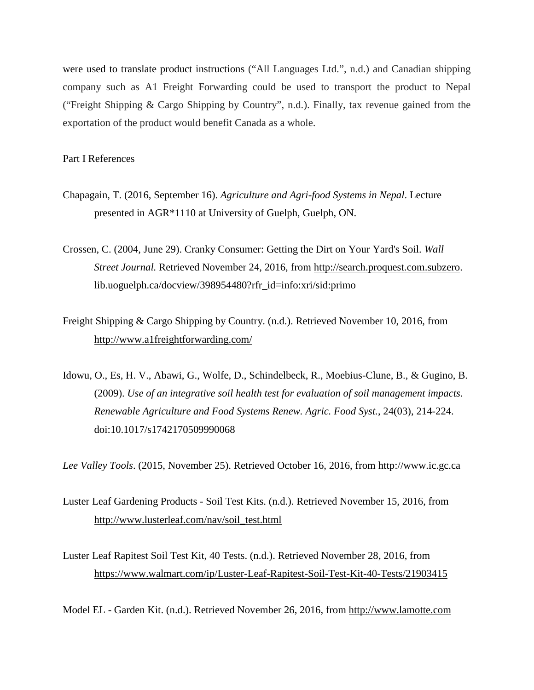were used to translate product instructions ("All Languages Ltd.", n.d.) and Canadian shipping company such as A1 Freight Forwarding could be used to transport the product to Nepal ("Freight Shipping & Cargo Shipping by Country", n.d.). Finally, tax revenue gained from the exportation of the product would benefit Canada as a whole.

Part I References

Chapagain, T. (2016, September 16). *Agriculture and Agri-food Systems in Nepal*. Lecture presented in AGR\*1110 at University of Guelph, Guelph, ON.

Crossen, C. (2004, June 29). Cranky Consumer: Getting the Dirt on Your Yard's Soil. *Wall Street Journal.* Retrieved November 24, 2016, from [http://search.proquest.com.subzero.](http://search.proquest.com.subzero/) lib.uoguelph.ca/docview/398954480?rfr\_id=info:xri/sid:primo

- Freight Shipping & Cargo Shipping by Country. (n.d.). Retrieved November 10, 2016, from <http://www.a1freightforwarding.com/>
- Idowu, O., Es, H. V., Abawi, G., Wolfe, D., Schindelbeck, R., Moebius-Clune, B., & Gugino, B. (2009). *Use of an integrative soil health test for evaluation of soil management impacts. Renewable Agriculture and Food Systems Renew. Agric. Food Syst.*, 24(03), 214-224. doi:10.1017/s1742170509990068

*Lee Valley Tools*. (2015, November 25). Retrieved October 16, 2016, from [http://www.ic.gc.ca](http://www.ic.gc.ca/)

- Luster Leaf Gardening Products Soil Test Kits. (n.d.). Retrieved November 15, 2016, from [http://www.lusterleaf.com/nav/soil\\_test.html](http://www.lusterleaf.com/nav/soil_test.html)
- Luster Leaf Rapitest Soil Test Kit, 40 Tests. (n.d.). Retrieved November 28, 2016, from https://www.walmart.com/ip/Luster-Leaf-Rapitest-Soil-Test-Kit-40-Tests/21903415

Model EL - Garden Kit. (n.d.). Retrieved November 26, 2016, from [http://www.lamotte.com](http://www.lamotte.com/)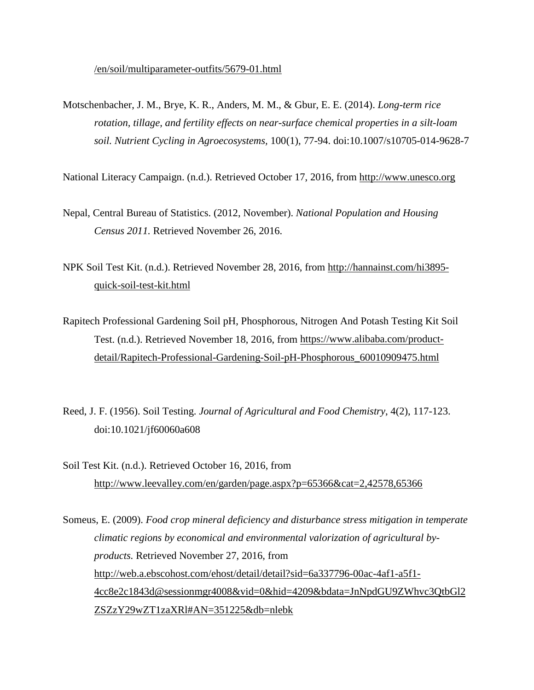/en/soil/multiparameter-outfits/5679-01.html

Motschenbacher, J. M., Brye, K. R., Anders, M. M., & Gbur, E. E. (2014). *Long-term rice rotation, tillage, and fertility effects on near-surface chemical properties in a silt-loam soil. Nutrient Cycling in Agroecosystems,* 100(1), 77-94. doi:10.1007/s10705-014-9628-7

National Literacy Campaign. (n.d.). Retrieved October 17, 2016, from [http://www.unesco.org](http://www.unesco.org/)

- Nepal, Central Bureau of Statistics. (2012, November). *National Population and Housing Census 2011.* Retrieved November 26, 2016.
- NPK Soil Test Kit. (n.d.). Retrieved November 28, 2016, from [http://hannainst.com/hi3895](http://hannainst.com/hi3895-) quick-soil-test-kit.html
- Rapitech Professional Gardening Soil pH, Phosphorous, Nitrogen And Potash Testing Kit Soil Test. (n.d.). Retrieved November 18, 2016, from [https://www.alibaba.com/product](https://www.alibaba.com/product-)detail/Rapitech-Professional-Gardening-Soil-pH-Phosphorous\_60010909475.html
- Reed, J. F. (1956). Soil Testing. *Journal of Agricultural and Food Chemistry*, 4(2), 117-123. doi:10.1021/jf60060a608
- Soil Test Kit. (n.d.). Retrieved October 16, 2016, from <http://www.leevalley.com/en/garden/page.aspx?p=65366&cat=2,42578,65366>

Someus, E. (2009). *Food crop mineral deficiency and disturbance stress mitigation in temperate climatic regions by economical and environmental valorization of agricultural byproducts.* Retrieved November 27, 2016, from [http://web.a.ebscohost.com/ehost/detail/detail?sid=6a337796-00ac-4af1-a5f1-](http://web.a.ebscohost.com/ehost/detail/detail?sid=6a337796-00ac-4af1-a5f1-4cc8e2c1843d@sessionmgr4008&vid=0&hid=4209&bdata=JnNpdGU9ZWhvc3QtbGl2ZSZzY29wZT1zaXRl#AN=351225&db=nlebk) [4cc8e2c1843d@sessionmgr4008&vid=0&hid=4209&bdata=JnNpdGU9ZWhvc3QtbGl2](http://web.a.ebscohost.com/ehost/detail/detail?sid=6a337796-00ac-4af1-a5f1-4cc8e2c1843d@sessionmgr4008&vid=0&hid=4209&bdata=JnNpdGU9ZWhvc3QtbGl2ZSZzY29wZT1zaXRl#AN=351225&db=nlebk) [ZSZzY29wZT1zaXRl#AN=351225&db=nlebk](http://web.a.ebscohost.com/ehost/detail/detail?sid=6a337796-00ac-4af1-a5f1-4cc8e2c1843d@sessionmgr4008&vid=0&hid=4209&bdata=JnNpdGU9ZWhvc3QtbGl2ZSZzY29wZT1zaXRl#AN=351225&db=nlebk)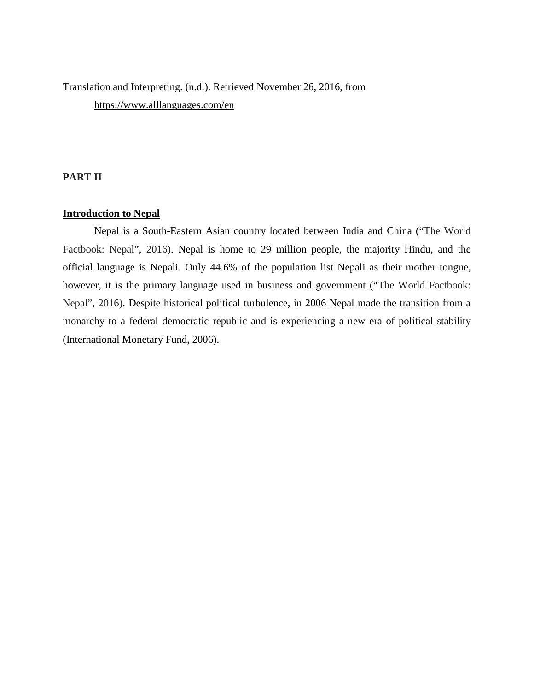Translation and Interpreting. (n.d.). Retrieved November 26, 2016, from https://www.alllanguages.com/en

# **PART II**

# **Introduction to Nepal**

Nepal is a South-Eastern Asian country located between India and China ("The World Factbook: Nepal", 2016). Nepal is home to 29 million people, the majority Hindu, and the official language is Nepali. Only 44.6% of the population list Nepali as their mother tongue, however, it is the primary language used in business and government ("The World Factbook: Nepal", 2016). Despite historical political turbulence, in 2006 Nepal made the transition from a monarchy to a federal democratic republic and is experiencing a new era of political stability (International Monetary Fund, 2006).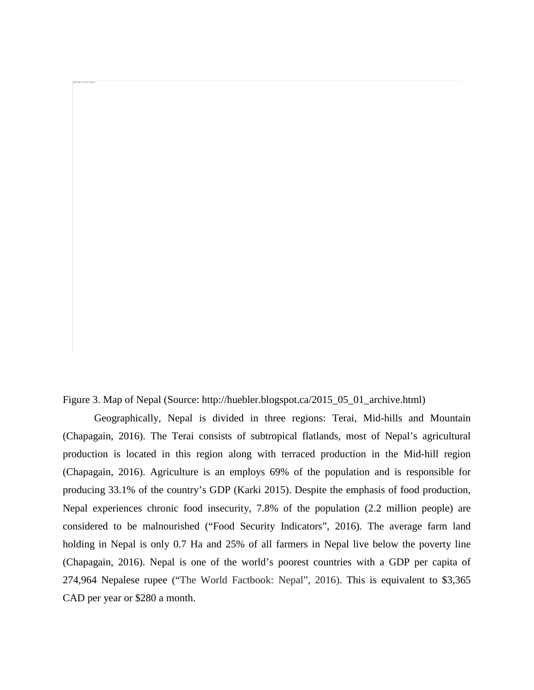Figure 3. Map of Nepal (Source: http://huebler.blogspot.ca/2015\_05\_01\_archive.html)

Geographically, Nepal is divided in three regions: Terai, Mid-hills and Mountain (Chapagain, 2016). The Terai consists of subtropical flatlands, most of Nepal's agricultural production is located in this region along with terraced production in the Mid-hill region (Chapagain, 2016). Agriculture is an employs 69% of the population and is responsible for producing 33.1% of the country's GDP (Karki 2015). Despite the emphasis of food production, Nepal experiences chronic food insecurity, 7.8% of the population (2.2 million people) are considered to be malnourished ("Food Security Indicators", 2016). The average farm land holding in Nepal is only 0.7 Ha and 25% of all farmers in Nepal live below the poverty line (Chapagain, 2016). Nepal is one of the world's poorest countries with a GDP per capita of 274,964 Nepalese rupee ("The World Factbook: Nepal", 2016). This is equivalent to \$3,365 CAD per year or \$280 a month.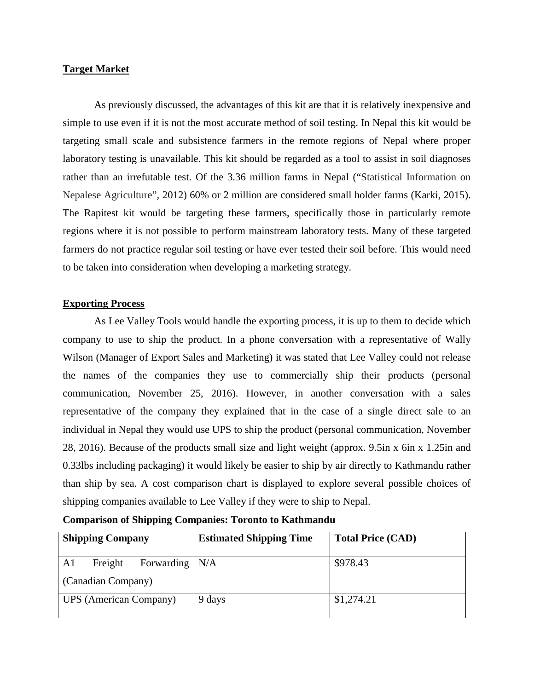# **Target Market**

As previously discussed, the advantages of this kit are that it is relatively inexpensive and simple to use even if it is not the most accurate method of soil testing. In Nepal this kit would be targeting small scale and subsistence farmers in the remote regions of Nepal where proper laboratory testing is unavailable. This kit should be regarded as a tool to assist in soil diagnoses rather than an irrefutable test. Of the 3.36 million farms in Nepal ("Statistical Information on Nepalese Agriculture", 2012) 60% or 2 million are considered small holder farms (Karki, 2015). The Rapitest kit would be targeting these farmers, specifically those in particularly remote regions where it is not possible to perform mainstream laboratory tests. Many of these targeted farmers do not practice regular soil testing or have ever tested their soil before. This would need to be taken into consideration when developing a marketing strategy.

# **Exporting Process**

As Lee Valley Tools would handle the exporting process, it is up to them to decide which company to use to ship the product. In a phone conversation with a representative of Wally Wilson (Manager of Export Sales and Marketing) it was stated that Lee Valley could not release the names of the companies they use to commercially ship their products (personal communication, November 25, 2016). However, in another conversation with a sales representative of the company they explained that in the case of a single direct sale to an individual in Nepal they would use UPS to ship the product (personal communication, November 28, 2016). Because of the products small size and light weight (approx. 9.5in x 6in x 1.25in and 0.33lbs including packaging) it would likely be easier to ship by air directly to Kathmandu rather than ship by sea. A cost comparison chart is displayed to explore several possible choices of shipping companies available to Lee Valley if they were to ship to Nepal.

| <b>Shipping Company</b>                 | <b>Estimated Shipping Time</b> | <b>Total Price (CAD)</b> |
|-----------------------------------------|--------------------------------|--------------------------|
| Freight<br>Forwarding $\vert$ N/A<br>A1 |                                | \$978.43                 |
| (Canadian Company)                      |                                |                          |
| <b>UPS</b> (American Company)           | 9 days                         | \$1,274.21               |

# **Comparison of Shipping Companies: Toronto to Kathmandu**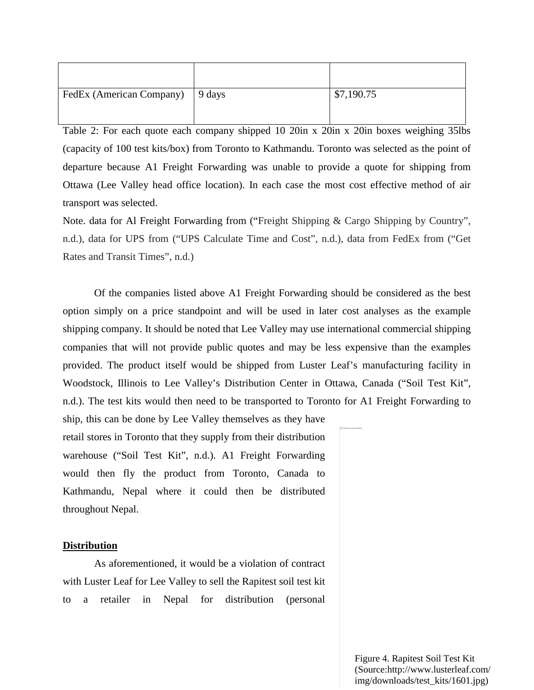| FedEx (American Company) 9 days | \$7,190.75 |
|---------------------------------|------------|

Table 2: For each quote each company shipped 10 20in x 20in x 20in boxes weighing 35lbs (capacity of 100 test kits/box) from Toronto to Kathmandu. Toronto was selected as the point of departure because A1 Freight Forwarding was unable to provide a quote for shipping from Ottawa (Lee Valley head office location). In each case the most cost effective method of air transport was selected.

Note. data for Al Freight Forwarding from ("Freight Shipping & Cargo Shipping by Country", n.d.), data for UPS from ("UPS Calculate Time and Cost", n.d.), data from FedEx from ("Get Rates and Transit Times", n.d.)

Of the companies listed above A1 Freight Forwarding should be considered as the best option simply on a price standpoint and will be used in later cost analyses as the example shipping company. It should be noted that Lee Valley may use international commercial shipping companies that will not provide public quotes and may be less expensive than the examples provided. The product itself would be shipped from Luster Leaf's manufacturing facility in Woodstock, Illinois to Lee Valley's Distribution Center in Ottawa, Canada ("Soil Test Kit", n.d.). The test kits would then need to be transported to Toronto for A1 Freight Forwarding to

ship, this can be done by Lee Valley themselves as they have retail stores in Toronto that they supply from their distribution warehouse ("Soil Test Kit", n.d.). A1 Freight Forwarding would then fly the product from Toronto, Canada to Kathmandu, Nepal where it could then be distributed throughout Nepal.

#### **Distribution**

As aforementioned, it would be a violation of contract with Luster Leaf for Lee Valley to sell the Rapitest soil test kit to a retailer in Nepal for distribution (personal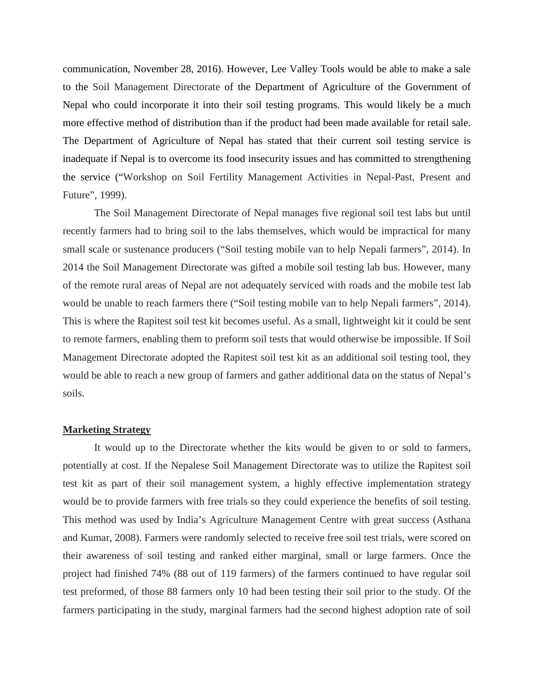communication, November 28, 2016). However, Lee Valley Tools would be able to make a sale to the Soil Management Directorate of the Department of Agriculture of the Government of Nepal who could incorporate it into their soil testing programs. This would likely be a much more effective method of distribution than if the product had been made available for retail sale. The Department of Agriculture of Nepal has stated that their current soil testing service is inadequate if Nepal is to overcome its food insecurity issues and has committed to strengthening the service ("Workshop on Soil Fertility Management Activities in Nepal-Past, Present and Future", 1999).

The Soil Management Directorate of Nepal manages five regional soil test labs but until recently farmers had to bring soil to the labs themselves, which would be impractical for many small scale or sustenance producers ("Soil testing mobile van to help Nepali farmers", 2014). In 2014 the Soil Management Directorate was gifted a mobile soil testing lab bus. However, many of the remote rural areas of Nepal are not adequately serviced with roads and the mobile test lab would be unable to reach farmers there ("Soil testing mobile van to help Nepali farmers", 2014). This is where the Rapitest soil test kit becomes useful. As a small, lightweight kit it could be sent to remote farmers, enabling them to preform soil tests that would otherwise be impossible. If Soil Management Directorate adopted the Rapitest soil test kit as an additional soil testing tool, they would be able to reach a new group of farmers and gather additional data on the status of Nepal's soils.

#### **Marketing Strategy**

It would up to the Directorate whether the kits would be given to or sold to farmers, potentially at cost. If the Nepalese Soil Management Directorate was to utilize the Rapitest soil test kit as part of their soil management system, a highly effective implementation strategy would be to provide farmers with free trials so they could experience the benefits of soil testing. This method was used by India's Agriculture Management Centre with great success (Asthana and Kumar, 2008). Farmers were randomly selected to receive free soil test trials, were scored on their awareness of soil testing and ranked either marginal, small or large farmers. Once the project had finished 74% (88 out of 119 farmers) of the farmers continued to have regular soil test preformed, of those 88 farmers only 10 had been testing their soil prior to the study. Of the farmers participating in the study, marginal farmers had the second highest adoption rate of soil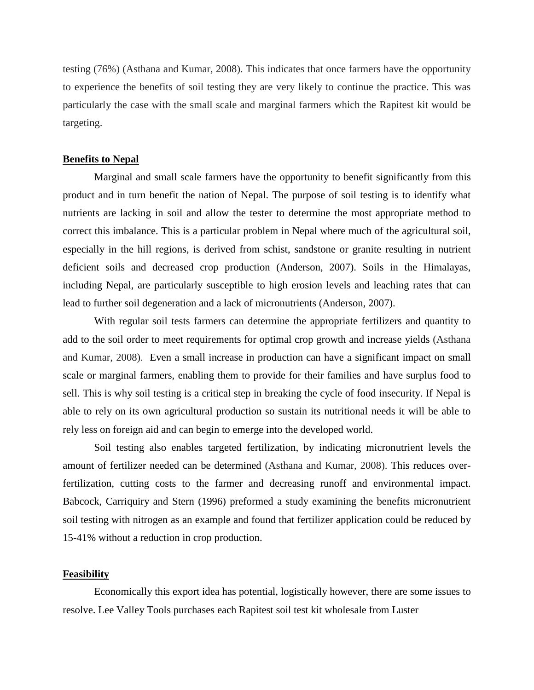testing (76%) (Asthana and Kumar, 2008). This indicates that once farmers have the opportunity to experience the benefits of soil testing they are very likely to continue the practice. This was particularly the case with the small scale and marginal farmers which the Rapitest kit would be targeting.

# **Benefits to Nepal**

Marginal and small scale farmers have the opportunity to benefit significantly from this product and in turn benefit the nation of Nepal. The purpose of soil testing is to identify what nutrients are lacking in soil and allow the tester to determine the most appropriate method to correct this imbalance. This is a particular problem in Nepal where much of the agricultural soil, especially in the hill regions, is derived from schist, sandstone or granite resulting in nutrient deficient soils and decreased crop production (Anderson, 2007). Soils in the Himalayas, including Nepal, are particularly susceptible to high erosion levels and leaching rates that can lead to further soil degeneration and a lack of micronutrients (Anderson, 2007).

With regular soil tests farmers can determine the appropriate fertilizers and quantity to add to the soil order to meet requirements for optimal crop growth and increase yields (Asthana and Kumar, 2008). Even a small increase in production can have a significant impact on small scale or marginal farmers, enabling them to provide for their families and have surplus food to sell. This is why soil testing is a critical step in breaking the cycle of food insecurity. If Nepal is able to rely on its own agricultural production so sustain its nutritional needs it will be able to rely less on foreign aid and can begin to emerge into the developed world.

Soil testing also enables targeted fertilization, by indicating micronutrient levels the amount of fertilizer needed can be determined (Asthana and Kumar, 2008). This reduces overfertilization, cutting costs to the farmer and decreasing runoff and environmental impact. Babcock, Carriquiry and Stern (1996) preformed a study examining the benefits micronutrient soil testing with nitrogen as an example and found that fertilizer application could be reduced by 15-41% without a reduction in crop production.

# **Feasibility**

Economically this export idea has potential, logistically however, there are some issues to resolve. Lee Valley Tools purchases each Rapitest soil test kit wholesale from Luster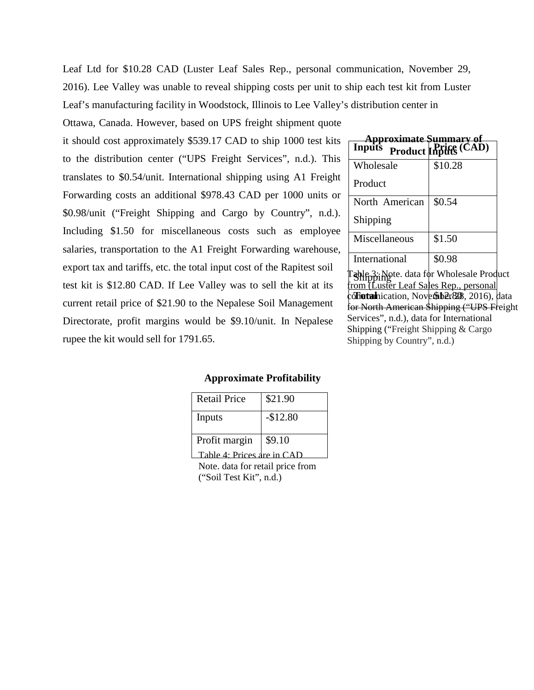Leaf Ltd for \$10.28 CAD (Luster Leaf Sales Rep., personal communication, November 29, 2016). Lee Valley was unable to reveal shipping costs per unit to ship each test kit from Luster Leaf's manufacturing facility in Woodstock, Illinois to Lee Valley's distribution center in

Ottawa, Canada. However, based on UPS freight shipment quote

it should cost approximately \$539.17 CAD to ship 1000 test kits to the distribution center ("UPS Freight Services", n.d.). This translates to \$0.54/unit. International shipping using A1 Freight Forwarding costs an additional \$978.43 CAD per 1000 units or \$0.98/unit ("Freight Shipping and Cargo by Country", n.d.). Including \$1.50 for miscellaneous costs such as employee salaries, transportation to the A1 Freight Forwarding warehouse, export tax and tariffs, etc. the total input cost of the Rapitest soil test kit is \$12.80 CAD. If Lee Valley was to sell the kit at its current retail price of \$21.90 to the Nepalese Soil Management Directorate, profit margins would be \$9.10/unit. In Nepalese rupee the kit would sell for 1791.65.

| Inputs         | proximate Summary of<br>Product Inputs (CAD) |
|----------------|----------------------------------------------|
| Wholesale      | \$10.28                                      |
| Product        |                                              |
| North American | \$0.54                                       |
| Shipping       |                                              |
| Miscellaneous  | \$1.50                                       |
| International  | \$0.98                                       |

Shipping col**fotat**hication, November 2008, 2016), data Table 3: Note. data for Wholesale Product from (Luster Leaf Sales Rep., personal for North American Shipping ("UPS Freight" Services", n.d.), data for International Shipping ("Freight Shipping & Cargo Shipping by Country", n.d.)

# **Approximate Profitability**

| <b>Retail Price</b>        | \$21.90   |
|----------------------------|-----------|
| Inputs                     | $-$12.80$ |
| Profit margin              | \$9.10    |
| Table 4: Prices are in CAD |           |

Note. data for retail price from ("Soil Test Kit", n.d.)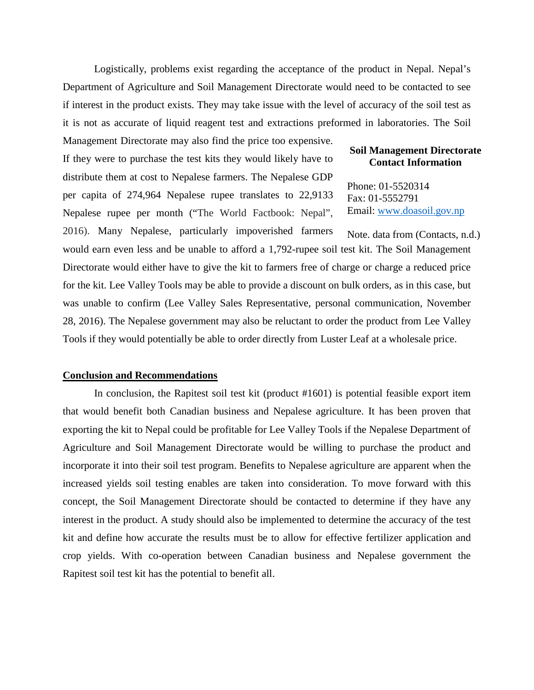Logistically, problems exist regarding the acceptance of the product in Nepal. Nepal's Department of Agriculture and Soil Management Directorate would need to be contacted to see if interest in the product exists. They may take issue with the level of accuracy of the soil test as it is not as accurate of liquid reagent test and extractions preformed in laboratories. The Soil

Management Directorate may also find the price too expensive. If they were to purchase the test kits they would likely have to distribute them at cost to Nepalese farmers. The Nepalese GDP per capita of 274,964 Nepalese rupee translates to 22,9133 Nepalese rupee per month ("The World Factbook: Nepal",

# **Soil Management Directorate Contact Information**

Phone: 01-5520314 Fax: 01-5552791 Email: [www.doasoil.gov.np](http://www.doasoil.gov.np/)

2016). Many Nepalese, particularly impoverished farmers would earn even less and be unable to afford a 1,792-rupee soil test kit. The Soil Management Directorate would either have to give the kit to farmers free of charge or charge a reduced price for the kit. Lee Valley Tools may be able to provide a discount on bulk orders, as in this case, but was unable to confirm (Lee Valley Sales Representative, personal communication, November 28, 2016). The Nepalese government may also be reluctant to order the product from Lee Valley Tools if they would potentially be able to order directly from Luster Leaf at a wholesale price. Note. data from (Contacts, n.d.)

### **Conclusion and Recommendations**

In conclusion, the Rapitest soil test kit (product #1601) is potential feasible export item that would benefit both Canadian business and Nepalese agriculture. It has been proven that exporting the kit to Nepal could be profitable for Lee Valley Tools if the Nepalese Department of Agriculture and Soil Management Directorate would be willing to purchase the product and incorporate it into their soil test program. Benefits to Nepalese agriculture are apparent when the increased yields soil testing enables are taken into consideration. To move forward with this concept, the Soil Management Directorate should be contacted to determine if they have any interest in the product. A study should also be implemented to determine the accuracy of the test kit and define how accurate the results must be to allow for effective fertilizer application and crop yields. With co-operation between Canadian business and Nepalese government the Rapitest soil test kit has the potential to benefit all.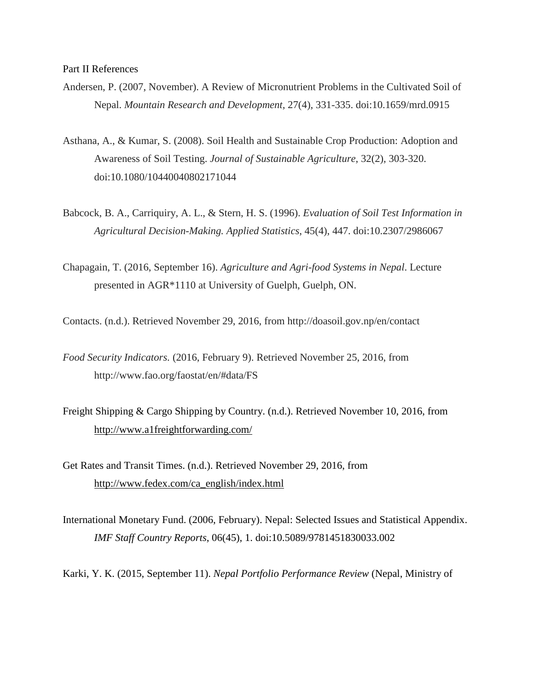- Andersen, P. (2007, November). A Review of Micronutrient Problems in the Cultivated Soil of Nepal. *Mountain Research and Development*, 27(4), 331-335. doi:10.1659/mrd.0915
- Asthana, A., & Kumar, S. (2008). Soil Health and Sustainable Crop Production: Adoption and Awareness of Soil Testing. *Journal of Sustainable Agriculture*, 32(2), 303-320. doi:10.1080/10440040802171044
- Babcock, B. A., Carriquiry, A. L., & Stern, H. S. (1996). *Evaluation of Soil Test Information in Agricultural Decision-Making. Applied Statistics*, 45(4), 447. doi:10.2307/2986067
- Chapagain, T. (2016, September 16). *Agriculture and Agri-food Systems in Nepal*. Lecture presented in AGR\*1110 at University of Guelph, Guelph, ON.

Contacts. (n.d.). Retrieved November 29, 2016, from http://doasoil.gov.np/en/contact

- *Food Security Indicators.* (2016, February 9). Retrieved November 25, 2016, from http://www.fao.org/faostat/en/#data/FS
- Freight Shipping & Cargo Shipping by Country. (n.d.). Retrieved November 10, 2016, from <http://www.a1freightforwarding.com/>
- Get Rates and Transit Times. (n.d.). Retrieved November 29, 2016, from [http://www.fedex.com/ca\\_english/index.html](http://www.fedex.com/ca_english/index.html)
- International Monetary Fund. (2006, February). Nepal: Selected Issues and Statistical Appendix. *IMF Staff Country Reports*, 06(45), 1. doi:10.5089/9781451830033.002

Karki, Y. K. (2015, September 11). *Nepal Portfolio Performance Review* (Nepal, Ministry of